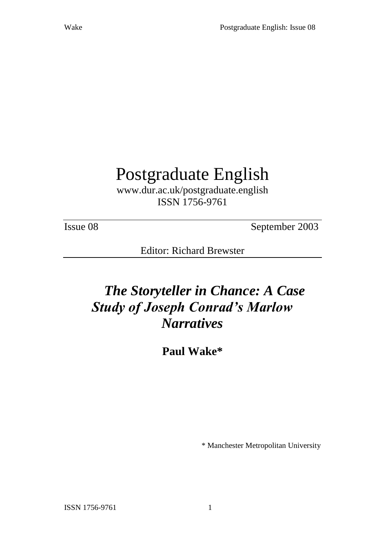# Postgraduate English

www.dur.ac.uk/postgraduate.english ISSN 1756-9761

Issue 08 September 2003

Editor: Richard Brewster

# *The Storyteller in Chance: A Case Study of Joseph Conrad's Marlow Narratives*

**Paul Wake\***

\* Manchester Metropolitan University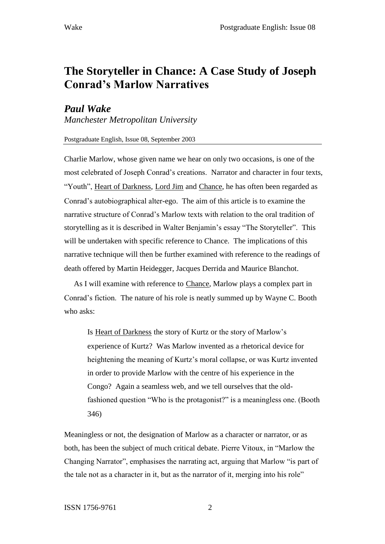## **The Storyteller in Chance: A Case Study of Joseph Conrad's Marlow Narratives**

### *Paul Wake*

*Manchester Metropolitan University*

#### Postgraduate English, Issue 08, September 2003

Charlie Marlow, whose given name we hear on only two occasions, is one of the most celebrated of Joseph Conrad's creations. Narrator and character in four texts, "Youth", Heart of Darkness, Lord Jim and Chance, he has often been regarded as Conrad's autobiographical alter-ego. The aim of this article is to examine the narrative structure of Conrad's Marlow texts with relation to the oral tradition of storytelling as it is described in Walter Benjamin's essay "The Storyteller". This will be undertaken with specific reference to Chance. The implications of this narrative technique will then be further examined with reference to the readings of death offered by Martin Heidegger, Jacques Derrida and Maurice Blanchot.

As I will examine with reference to Chance, Marlow plays a complex part in Conrad's fiction. The nature of his role is neatly summed up by Wayne C. Booth who asks:

Is Heart of Darkness the story of Kurtz or the story of Marlow's experience of Kurtz? Was Marlow invented as a rhetorical device for heightening the meaning of Kurtz's moral collapse, or was Kurtz invented in order to provide Marlow with the centre of his experience in the Congo? Again a seamless web, and we tell ourselves that the oldfashioned question "Who is the protagonist?" is a meaningless one. (Booth 346)

Meaningless or not, the designation of Marlow as a character or narrator, or as both, has been the subject of much critical debate. Pierre Vitoux, in "Marlow the Changing Narrator", emphasises the narrating act, arguing that Marlow "is part of the tale not as a character in it, but as the narrator of it, merging into his role"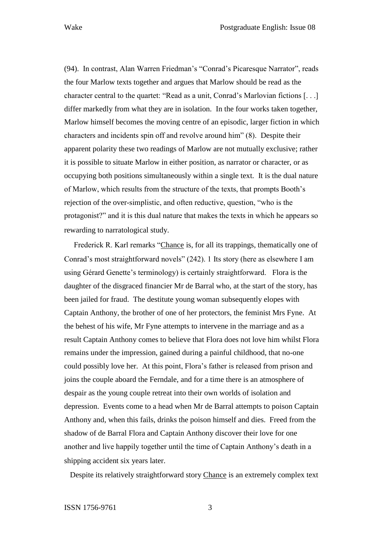(94). In contrast, Alan Warren Friedman's "Conrad's Picaresque Narrator", reads the four Marlow texts together and argues that Marlow should be read as the character central to the quartet: "Read as a unit, Conrad's Marlovian fictions [. . .] differ markedly from what they are in isolation. In the four works taken together, Marlow himself becomes the moving centre of an episodic, larger fiction in which characters and incidents spin off and revolve around him" (8). Despite their apparent polarity these two readings of Marlow are not mutually exclusive; rather it is possible to situate Marlow in either position, as narrator or character, or as occupying both positions simultaneously within a single text. It is the dual nature of Marlow, which results from the structure of the texts, that prompts Booth's rejection of the over-simplistic, and often reductive, question, "who is the protagonist?" and it is this dual nature that makes the texts in which he appears so rewarding to narratological study.

Frederick R. Karl remarks "Chance is, for all its trappings, thematically one of Conrad's most straightforward novels" (242). 1 Its story (here as elsewhere I am using Gérard Genette's terminology) is certainly straightforward. Flora is the daughter of the disgraced financier Mr de Barral who, at the start of the story, has been jailed for fraud. The destitute young woman subsequently elopes with Captain Anthony, the brother of one of her protectors, the feminist Mrs Fyne. At the behest of his wife, Mr Fyne attempts to intervene in the marriage and as a result Captain Anthony comes to believe that Flora does not love him whilst Flora remains under the impression, gained during a painful childhood, that no-one could possibly love her. At this point, Flora's father is released from prison and joins the couple aboard the Ferndale, and for a time there is an atmosphere of despair as the young couple retreat into their own worlds of isolation and depression. Events come to a head when Mr de Barral attempts to poison Captain Anthony and, when this fails, drinks the poison himself and dies. Freed from the shadow of de Barral Flora and Captain Anthony discover their love for one another and live happily together until the time of Captain Anthony's death in a shipping accident six years later.

Despite its relatively straightforward story Chance is an extremely complex text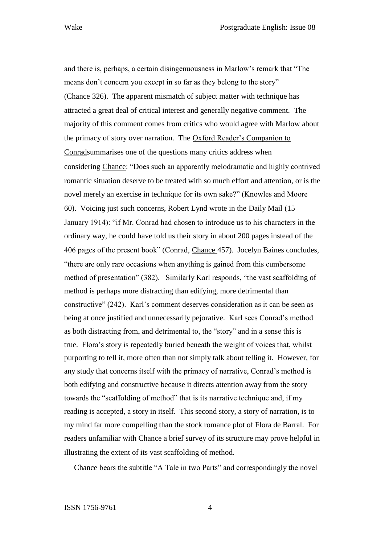and there is, perhaps, a certain disingenuousness in Marlow's remark that "The means don't concern you except in so far as they belong to the story" (Chance 326). The apparent mismatch of subject matter with technique has attracted a great deal of critical interest and generally negative comment. The majority of this comment comes from critics who would agree with Marlow about the primacy of story over narration. The Oxford Reader's Companion to Conradsummarises one of the questions many critics address when considering Chance: "Does such an apparently melodramatic and highly contrived romantic situation deserve to be treated with so much effort and attention, or is the novel merely an exercise in technique for its own sake?" (Knowles and Moore 60). Voicing just such concerns, Robert Lynd wrote in the Daily Mail (15 January 1914): "if Mr. Conrad had chosen to introduce us to his characters in the ordinary way, he could have told us their story in about 200 pages instead of the 406 pages of the present book" (Conrad, Chance 457). Jocelyn Baines concludes, "there are only rare occasions when anything is gained from this cumbersome method of presentation" (382). Similarly Karl responds, "the vast scaffolding of method is perhaps more distracting than edifying, more detrimental than constructive" (242). Karl's comment deserves consideration as it can be seen as being at once justified and unnecessarily pejorative. Karl sees Conrad's method as both distracting from, and detrimental to, the "story" and in a sense this is true. Flora's story is repeatedly buried beneath the weight of voices that, whilst purporting to tell it, more often than not simply talk about telling it. However, for any study that concerns itself with the primacy of narrative, Conrad's method is both edifying and constructive because it directs attention away from the story towards the "scaffolding of method" that is its narrative technique and, if my reading is accepted, a story in itself. This second story, a story of narration, is to my mind far more compelling than the stock romance plot of Flora de Barral. For readers unfamiliar with Chance a brief survey of its structure may prove helpful in illustrating the extent of its vast scaffolding of method.

Chance bears the subtitle "A Tale in two Parts" and correspondingly the novel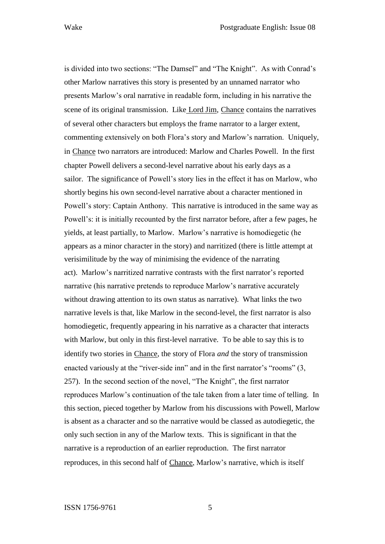is divided into two sections: "The Damsel" and "The Knight". As with Conrad's other Marlow narratives this story is presented by an unnamed narrator who presents Marlow's oral narrative in readable form, including in his narrative the scene of its original transmission. Like Lord Jim, Chance contains the narratives of several other characters but employs the frame narrator to a larger extent, commenting extensively on both Flora's story and Marlow's narration. Uniquely, in Chance two narrators are introduced: Marlow and Charles Powell. In the first chapter Powell delivers a second-level narrative about his early days as a sailor. The significance of Powell's story lies in the effect it has on Marlow, who shortly begins his own second-level narrative about a character mentioned in Powell's story: Captain Anthony. This narrative is introduced in the same way as Powell's: it is initially recounted by the first narrator before, after a few pages, he yields, at least partially, to Marlow. Marlow's narrative is homodiegetic (he appears as a minor character in the story) and narritized (there is little attempt at verisimilitude by the way of minimising the evidence of the narrating act). Marlow's narritized narrative contrasts with the first narrator's reported narrative (his narrative pretends to reproduce Marlow's narrative accurately without drawing attention to its own status as narrative). What links the two narrative levels is that, like Marlow in the second-level, the first narrator is also homodiegetic, frequently appearing in his narrative as a character that interacts with Marlow, but only in this first-level narrative. To be able to say this is to identify two stories in Chance, the story of Flora *and* the story of transmission enacted variously at the "river-side inn" and in the first narrator's "rooms" (3, 257). In the second section of the novel, "The Knight", the first narrator reproduces Marlow's continuation of the tale taken from a later time of telling. In this section, pieced together by Marlow from his discussions with Powell, Marlow is absent as a character and so the narrative would be classed as autodiegetic, the only such section in any of the Marlow texts. This is significant in that the narrative is a reproduction of an earlier reproduction. The first narrator reproduces, in this second half of Chance, Marlow's narrative, which is itself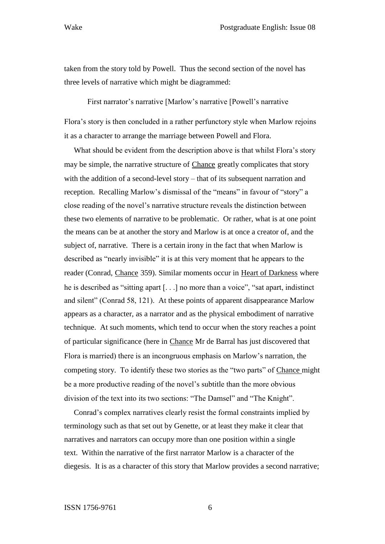taken from the story told by Powell. Thus the second section of the novel has three levels of narrative which might be diagrammed:

First narrator's narrative [Marlow's narrative [Powell's narrative

Flora's story is then concluded in a rather perfunctory style when Marlow rejoins it as a character to arrange the marriage between Powell and Flora.

What should be evident from the description above is that whilst Flora's story may be simple, the narrative structure of Chance greatly complicates that story with the addition of a second-level story – that of its subsequent narration and reception. Recalling Marlow's dismissal of the "means" in favour of "story" a close reading of the novel's narrative structure reveals the distinction between these two elements of narrative to be problematic. Or rather, what is at one point the means can be at another the story and Marlow is at once a creator of, and the subject of, narrative. There is a certain irony in the fact that when Marlow is described as "nearly invisible" it is at this very moment that he appears to the reader (Conrad, Chance 359). Similar moments occur in Heart of Darkness where he is described as "sitting apart [. . .] no more than a voice", "sat apart, indistinct and silent" (Conrad 58, 121). At these points of apparent disappearance Marlow appears as a character, as a narrator and as the physical embodiment of narrative technique. At such moments, which tend to occur when the story reaches a point of particular significance (here in Chance Mr de Barral has just discovered that Flora is married) there is an incongruous emphasis on Marlow's narration, the competing story. To identify these two stories as the "two parts" of Chance might be a more productive reading of the novel's subtitle than the more obvious division of the text into its two sections: "The Damsel" and "The Knight".

Conrad's complex narratives clearly resist the formal constraints implied by terminology such as that set out by Genette, or at least they make it clear that narratives and narrators can occupy more than one position within a single text. Within the narrative of the first narrator Marlow is a character of the diegesis. It is as a character of this story that Marlow provides a second narrative;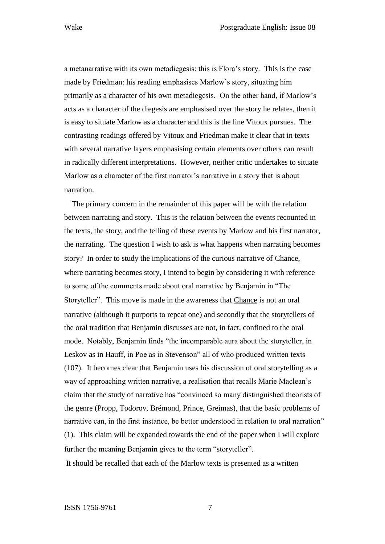a metanarrative with its own metadiegesis: this is Flora's story. This is the case made by Friedman: his reading emphasises Marlow's story, situating him primarily as a character of his own metadiegesis. On the other hand, if Marlow's acts as a character of the diegesis are emphasised over the story he relates, then it is easy to situate Marlow as a character and this is the line Vitoux pursues. The contrasting readings offered by Vitoux and Friedman make it clear that in texts with several narrative layers emphasising certain elements over others can result in radically different interpretations. However, neither critic undertakes to situate Marlow as a character of the first narrator's narrative in a story that is about narration.

The primary concern in the remainder of this paper will be with the relation between narrating and story. This is the relation between the events recounted in the texts, the story, and the telling of these events by Marlow and his first narrator, the narrating. The question I wish to ask is what happens when narrating becomes story? In order to study the implications of the curious narrative of Chance, where narrating becomes story, I intend to begin by considering it with reference to some of the comments made about oral narrative by Benjamin in "The Storyteller". This move is made in the awareness that Chance is not an oral narrative (although it purports to repeat one) and secondly that the storytellers of the oral tradition that Benjamin discusses are not, in fact, confined to the oral mode. Notably, Benjamin finds "the incomparable aura about the storyteller, in Leskov as in Hauff, in Poe as in Stevenson" all of who produced written texts (107). It becomes clear that Benjamin uses his discussion of oral storytelling as a way of approaching written narrative, a realisation that recalls Marie Maclean's claim that the study of narrative has "convinced so many distinguished theorists of the genre (Propp, Todorov, Brémond, Prince, Greimas), that the basic problems of narrative can, in the first instance, be better understood in relation to oral narration" (1). This claim will be expanded towards the end of the paper when I will explore further the meaning Benjamin gives to the term "storyteller".

It should be recalled that each of the Marlow texts is presented as a written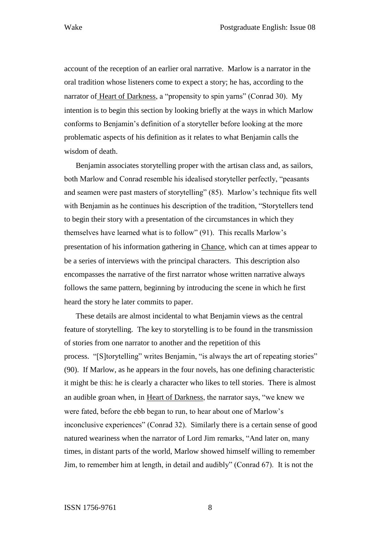account of the reception of an earlier oral narrative. Marlow is a narrator in the oral tradition whose listeners come to expect a story; he has, according to the narrator of Heart of Darkness, a "propensity to spin yarns" (Conrad 30). My intention is to begin this section by looking briefly at the ways in which Marlow conforms to Benjamin's definition of a storyteller before looking at the more problematic aspects of his definition as it relates to what Benjamin calls the wisdom of death.

Benjamin associates storytelling proper with the artisan class and, as sailors, both Marlow and Conrad resemble his idealised storyteller perfectly, "peasants and seamen were past masters of storytelling" (85). Marlow's technique fits well with Benjamin as he continues his description of the tradition, "Storytellers tend to begin their story with a presentation of the circumstances in which they themselves have learned what is to follow" (91). This recalls Marlow's presentation of his information gathering in Chance, which can at times appear to be a series of interviews with the principal characters. This description also encompasses the narrative of the first narrator whose written narrative always follows the same pattern, beginning by introducing the scene in which he first heard the story he later commits to paper.

These details are almost incidental to what Benjamin views as the central feature of storytelling. The key to storytelling is to be found in the transmission of stories from one narrator to another and the repetition of this process. "[S]torytelling" writes Benjamin, "is always the art of repeating stories" (90). If Marlow, as he appears in the four novels, has one defining characteristic it might be this: he is clearly a character who likes to tell stories. There is almost an audible groan when, in Heart of Darkness, the narrator says, "we knew we were fated, before the ebb began to run, to hear about one of Marlow's inconclusive experiences" (Conrad 32). Similarly there is a certain sense of good natured weariness when the narrator of Lord Jim remarks, "And later on, many times, in distant parts of the world, Marlow showed himself willing to remember Jim, to remember him at length, in detail and audibly" (Conrad 67). It is not the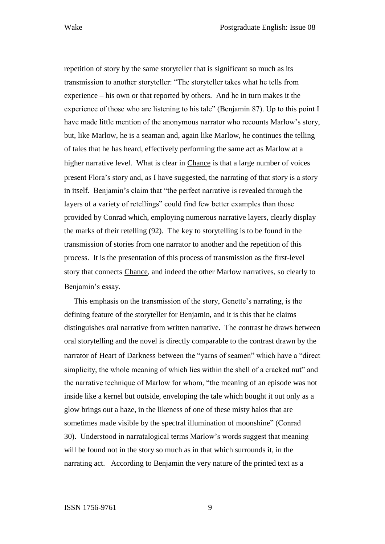repetition of story by the same storyteller that is significant so much as its transmission to another storyteller: "The storyteller takes what he tells from experience – his own or that reported by others. And he in turn makes it the experience of those who are listening to his tale" (Benjamin 87). Up to this point I have made little mention of the anonymous narrator who recounts Marlow's story, but, like Marlow, he is a seaman and, again like Marlow, he continues the telling of tales that he has heard, effectively performing the same act as Marlow at a higher narrative level. What is clear in Chance is that a large number of voices present Flora's story and, as I have suggested, the narrating of that story is a story in itself. Benjamin's claim that "the perfect narrative is revealed through the layers of a variety of retellings" could find few better examples than those provided by Conrad which, employing numerous narrative layers, clearly display the marks of their retelling (92). The key to storytelling is to be found in the transmission of stories from one narrator to another and the repetition of this process. It is the presentation of this process of transmission as the first-level story that connects Chance, and indeed the other Marlow narratives, so clearly to Benjamin's essay.

This emphasis on the transmission of the story, Genette's narrating, is the defining feature of the storyteller for Benjamin, and it is this that he claims distinguishes oral narrative from written narrative. The contrast he draws between oral storytelling and the novel is directly comparable to the contrast drawn by the narrator of Heart of Darkness between the "yarns of seamen" which have a "direct simplicity, the whole meaning of which lies within the shell of a cracked nut" and the narrative technique of Marlow for whom, "the meaning of an episode was not inside like a kernel but outside, enveloping the tale which bought it out only as a glow brings out a haze, in the likeness of one of these misty halos that are sometimes made visible by the spectral illumination of moonshine" (Conrad 30). Understood in narratalogical terms Marlow's words suggest that meaning will be found not in the story so much as in that which surrounds it, in the narrating act. According to Benjamin the very nature of the printed text as a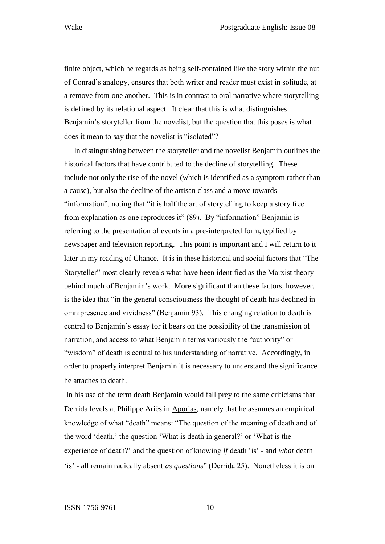finite object, which he regards as being self-contained like the story within the nut of Conrad's analogy, ensures that both writer and reader must exist in solitude, at a remove from one another. This is in contrast to oral narrative where storytelling is defined by its relational aspect. It clear that this is what distinguishes Benjamin's storyteller from the novelist, but the question that this poses is what does it mean to say that the novelist is "isolated"?

In distinguishing between the storyteller and the novelist Benjamin outlines the historical factors that have contributed to the decline of storytelling. These include not only the rise of the novel (which is identified as a symptom rather than a cause), but also the decline of the artisan class and a move towards "information", noting that "it is half the art of storytelling to keep a story free from explanation as one reproduces it" (89). By "information" Benjamin is referring to the presentation of events in a pre-interpreted form, typified by newspaper and television reporting. This point is important and I will return to it later in my reading of Chance. It is in these historical and social factors that "The Storyteller" most clearly reveals what have been identified as the Marxist theory behind much of Benjamin's work. More significant than these factors, however, is the idea that "in the general consciousness the thought of death has declined in omnipresence and vividness" (Benjamin 93). This changing relation to death is central to Benjamin's essay for it bears on the possibility of the transmission of narration, and access to what Benjamin terms variously the "authority" or "wisdom" of death is central to his understanding of narrative. Accordingly, in order to properly interpret Benjamin it is necessary to understand the significance he attaches to death.

In his use of the term death Benjamin would fall prey to the same criticisms that Derrida levels at Philippe Ariès in Aporias, namely that he assumes an empirical knowledge of what "death" means: "The question of the meaning of death and of the word 'death,' the question 'What is death in general?' or 'What is the experience of death?' and the question of knowing *if* death 'is' - and *what* death 'is' - all remain radically absent *as questions*" (Derrida 25). Nonetheless it is on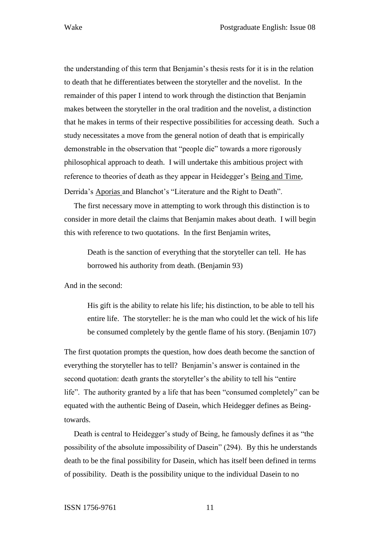the understanding of this term that Benjamin's thesis rests for it is in the relation to death that he differentiates between the storyteller and the novelist. In the remainder of this paper I intend to work through the distinction that Benjamin makes between the storyteller in the oral tradition and the novelist, a distinction that he makes in terms of their respective possibilities for accessing death. Such a study necessitates a move from the general notion of death that is empirically demonstrable in the observation that "people die" towards a more rigorously philosophical approach to death. I will undertake this ambitious project with reference to theories of death as they appear in Heidegger's Being and Time, Derrida's Aporias and Blanchot's "Literature and the Right to Death".

The first necessary move in attempting to work through this distinction is to consider in more detail the claims that Benjamin makes about death. I will begin this with reference to two quotations. In the first Benjamin writes,

Death is the sanction of everything that the storyteller can tell. He has borrowed his authority from death. (Benjamin 93)

And in the second:

His gift is the ability to relate his life; his distinction, to be able to tell his entire life. The storyteller: he is the man who could let the wick of his life be consumed completely by the gentle flame of his story. (Benjamin 107)

The first quotation prompts the question, how does death become the sanction of everything the storyteller has to tell? Benjamin's answer is contained in the second quotation: death grants the storyteller's the ability to tell his "entire life". The authority granted by a life that has been "consumed completely" can be equated with the authentic Being of Dasein, which Heidegger defines as Beingtowards.

Death is central to Heidegger's study of Being, he famously defines it as "the possibility of the absolute impossibility of Dasein" (294). By this he understands death to be the final possibility for Dasein, which has itself been defined in terms of possibility. Death is the possibility unique to the individual Dasein to no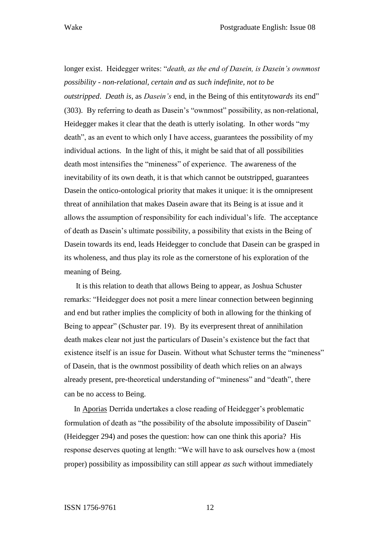longer exist. Heidegger writes: "*death, as the end of Dasein, is Dasein's ownmost possibility - non-relational, certain and as such indefinite, not to be outstripped*. *Death is*, as *Dasein's* end, in the Being of this entity*towards* its end" (303). By referring to death as Dasein's "ownmost" possibility, as non-relational, Heidegger makes it clear that the death is utterly isolating. In other words "my death", as an event to which only I have access, guarantees the possibility of my individual actions. In the light of this, it might be said that of all possibilities death most intensifies the "mineness" of experience. The awareness of the inevitability of its own death, it is that which cannot be outstripped, guarantees Dasein the ontico-ontological priority that makes it unique: it is the omnipresent threat of annihilation that makes Dasein aware that its Being is at issue and it allows the assumption of responsibility for each individual's life. The acceptance of death as Dasein's ultimate possibility, a possibility that exists in the Being of Dasein towards its end, leads Heidegger to conclude that Dasein can be grasped in its wholeness, and thus play its role as the cornerstone of his exploration of the meaning of Being.

It is this relation to death that allows Being to appear, as Joshua Schuster remarks: "Heidegger does not posit a mere linear connection between beginning and end but rather implies the complicity of both in allowing for the thinking of Being to appear" (Schuster par. 19). By its everpresent threat of annihilation death makes clear not just the particulars of Dasein's existence but the fact that existence itself is an issue for Dasein. Without what Schuster terms the "mineness" of Dasein, that is the ownmost possibility of death which relies on an always already present, pre-theoretical understanding of "mineness" and "death", there can be no access to Being.

In Aporias Derrida undertakes a close reading of Heidegger's problematic formulation of death as "the possibility of the absolute impossibility of Dasein" (Heidegger 294) and poses the question: how can one think this aporia? His response deserves quoting at length: "We will have to ask ourselves how a (most proper) possibility as impossibility can still appear *as such* without immediately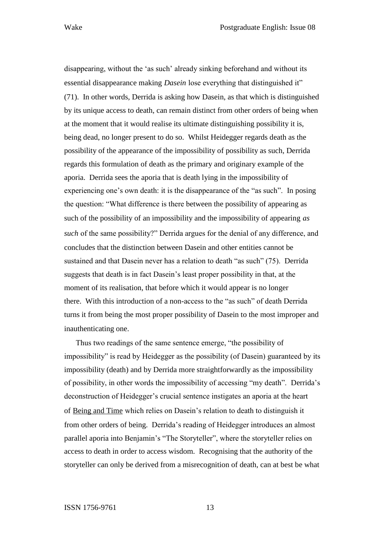disappearing, without the 'as such' already sinking beforehand and without its essential disappearance making *Dasein* lose everything that distinguished it" (71). In other words, Derrida is asking how Dasein, as that which is distinguished by its unique access to death, can remain distinct from other orders of being when at the moment that it would realise its ultimate distinguishing possibility it is, being dead, no longer present to do so. Whilst Heidegger regards death as the possibility of the appearance of the impossibility of possibility as such, Derrida regards this formulation of death as the primary and originary example of the aporia. Derrida sees the aporia that is death lying in the impossibility of experiencing one's own death: it is the disappearance of the "as such". In posing the question: "What difference is there between the possibility of appearing as such of the possibility of an impossibility and the impossibility of appearing *as such* of the same possibility?" Derrida argues for the denial of any difference, and concludes that the distinction between Dasein and other entities cannot be sustained and that Dasein never has a relation to death "as such" (75). Derrida suggests that death is in fact Dasein's least proper possibility in that, at the moment of its realisation, that before which it would appear is no longer there. With this introduction of a non-access to the "as such" of death Derrida turns it from being the most proper possibility of Dasein to the most improper and inauthenticating one.

Thus two readings of the same sentence emerge, "the possibility of impossibility" is read by Heidegger as the possibility (of Dasein) guaranteed by its impossibility (death) and by Derrida more straightforwardly as the impossibility of possibility, in other words the impossibility of accessing "my death". Derrida's deconstruction of Heidegger's crucial sentence instigates an aporia at the heart of Being and Time which relies on Dasein's relation to death to distinguish it from other orders of being. Derrida's reading of Heidegger introduces an almost parallel aporia into Benjamin's "The Storyteller", where the storyteller relies on access to death in order to access wisdom. Recognising that the authority of the storyteller can only be derived from a misrecognition of death, can at best be what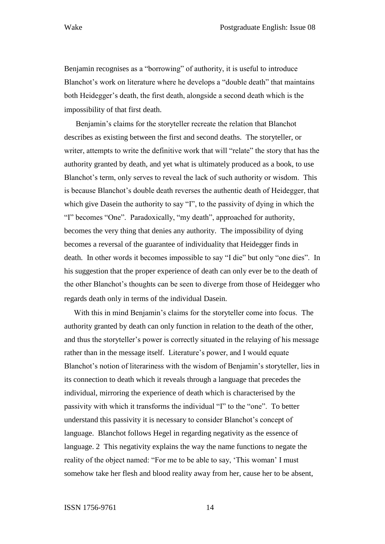Benjamin recognises as a "borrowing" of authority, it is useful to introduce Blanchot's work on literature where he develops a "double death" that maintains both Heidegger's death, the first death, alongside a second death which is the impossibility of that first death.

Benjamin's claims for the storyteller recreate the relation that Blanchot describes as existing between the first and second deaths. The storyteller, or writer, attempts to write the definitive work that will "relate" the story that has the authority granted by death, and yet what is ultimately produced as a book, to use Blanchot's term, only serves to reveal the lack of such authority or wisdom. This is because Blanchot's double death reverses the authentic death of Heidegger, that which give Dasein the authority to say "I", to the passivity of dying in which the "I" becomes "One". Paradoxically, "my death", approached for authority, becomes the very thing that denies any authority. The impossibility of dying becomes a reversal of the guarantee of individuality that Heidegger finds in death. In other words it becomes impossible to say "I die" but only "one dies". In his suggestion that the proper experience of death can only ever be to the death of the other Blanchot's thoughts can be seen to diverge from those of Heidegger who regards death only in terms of the individual Dasein.

With this in mind Benjamin's claims for the storyteller come into focus. The authority granted by death can only function in relation to the death of the other, and thus the storyteller's power is correctly situated in the relaying of his message rather than in the message itself. Literature's power, and I would equate Blanchot's notion of literariness with the wisdom of Benjamin's storyteller, lies in its connection to death which it reveals through a language that precedes the individual, mirroring the experience of death which is characterised by the passivity with which it transforms the individual "I" to the "one". To better understand this passivity it is necessary to consider Blanchot's concept of language. Blanchot follows Hegel in regarding negativity as the essence of language. 2 This negativity explains the way the name functions to negate the reality of the object named: "For me to be able to say, 'This woman' I must somehow take her flesh and blood reality away from her, cause her to be absent,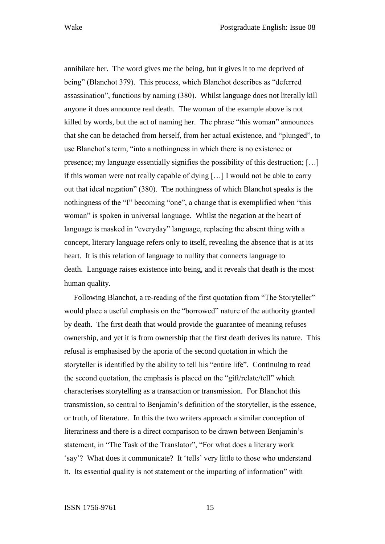annihilate her. The word gives me the being, but it gives it to me deprived of being" (Blanchot 379). This process, which Blanchot describes as "deferred assassination", functions by naming (380). Whilst language does not literally kill anyone it does announce real death. The woman of the example above is not killed by words, but the act of naming her. The phrase "this woman" announces that she can be detached from herself, from her actual existence, and "plunged", to use Blanchot's term, "into a nothingness in which there is no existence or presence; my language essentially signifies the possibility of this destruction; […] if this woman were not really capable of dying […] I would not be able to carry out that ideal negation" (380). The nothingness of which Blanchot speaks is the nothingness of the "I" becoming "one", a change that is exemplified when "this woman" is spoken in universal language. Whilst the negation at the heart of language is masked in "everyday" language, replacing the absent thing with a concept, literary language refers only to itself, revealing the absence that is at its heart. It is this relation of language to nullity that connects language to death. Language raises existence into being, and it reveals that death is the most human quality.

Following Blanchot, a re-reading of the first quotation from "The Storyteller" would place a useful emphasis on the "borrowed" nature of the authority granted by death. The first death that would provide the guarantee of meaning refuses ownership, and yet it is from ownership that the first death derives its nature. This refusal is emphasised by the aporia of the second quotation in which the storyteller is identified by the ability to tell his "entire life". Continuing to read the second quotation, the emphasis is placed on the "gift/relate/tell" which characterises storytelling as a transaction or transmission. For Blanchot this transmission, so central to Benjamin's definition of the storyteller, is the essence, or truth, of literature. In this the two writers approach a similar conception of literariness and there is a direct comparison to be drawn between Benjamin's statement, in "The Task of the Translator", "For what does a literary work 'say'? What does it communicate? It 'tells' very little to those who understand it. Its essential quality is not statement or the imparting of information" with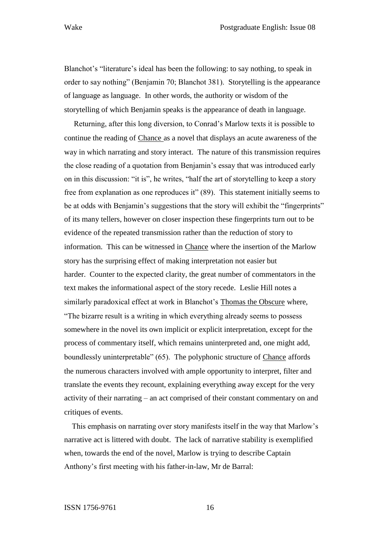Blanchot's "literature's ideal has been the following: to say nothing, to speak in order to say nothing" (Benjamin 70; Blanchot 381). Storytelling is the appearance of language as language. In other words, the authority or wisdom of the storytelling of which Benjamin speaks is the appearance of death in language.

Returning, after this long diversion, to Conrad's Marlow texts it is possible to continue the reading of Chance as a novel that displays an acute awareness of the way in which narrating and story interact. The nature of this transmission requires the close reading of a quotation from Benjamin's essay that was introduced early on in this discussion: "it is", he writes, "half the art of storytelling to keep a story free from explanation as one reproduces it" (89). This statement initially seems to be at odds with Benjamin's suggestions that the story will exhibit the "fingerprints" of its many tellers, however on closer inspection these fingerprints turn out to be evidence of the repeated transmission rather than the reduction of story to information. This can be witnessed in Chance where the insertion of the Marlow story has the surprising effect of making interpretation not easier but harder. Counter to the expected clarity, the great number of commentators in the text makes the informational aspect of the story recede. Leslie Hill notes a similarly paradoxical effect at work in Blanchot's Thomas the Obscure where, "The bizarre result is a writing in which everything already seems to possess somewhere in the novel its own implicit or explicit interpretation, except for the process of commentary itself, which remains uninterpreted and, one might add, boundlessly uninterpretable" (65). The polyphonic structure of Chance affords the numerous characters involved with ample opportunity to interpret, filter and translate the events they recount, explaining everything away except for the very activity of their narrating – an act comprised of their constant commentary on and critiques of events.

This emphasis on narrating over story manifests itself in the way that Marlow's narrative act is littered with doubt. The lack of narrative stability is exemplified when, towards the end of the novel, Marlow is trying to describe Captain Anthony's first meeting with his father-in-law, Mr de Barral: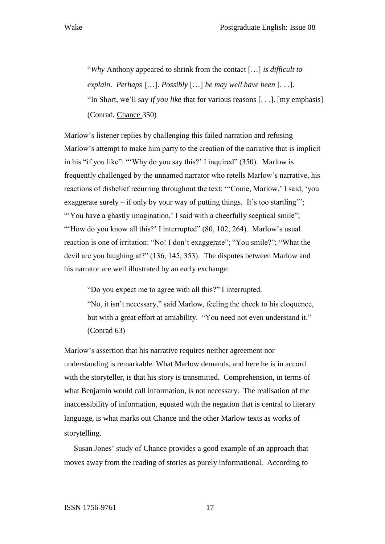"*Why* Anthony appeared to shrink from the contact […] *is difficult to explain*. *Perhaps* […]. *Possibly* […] *he may well have been* [. . .]. "In Short, we'll say *if you like* that for various reasons [. . .]. [my emphasis] (Conrad, Chance 350)

Marlow's listener replies by challenging this failed narration and refusing Marlow's attempt to make him party to the creation of the narrative that is implicit in his "if you like": "'Why do you say this?' I inquired" (350). Marlow is frequently challenged by the unnamed narrator who retells Marlow's narrative, his reactions of disbelief recurring throughout the text: "'Come, Marlow,' I said, 'you exaggerate surely – if only by your way of putting things. It's too startling'"; "You have a ghastly imagination,' I said with a cheerfully sceptical smile"; "How do you know all this?' I interrupted" (80, 102, 264). Marlow's usual reaction is one of irritation: "No! I don't exaggerate"; "You smile?"; "What the devil are you laughing at?" (136, 145, 353). The disputes between Marlow and his narrator are well illustrated by an early exchange:

"Do you expect me to agree with all this?" I interrupted.

"No, it isn't necessary," said Marlow, feeling the check to his eloquence, but with a great effort at amiability. "You need not even understand it." (Conrad 63)

Marlow's assertion that his narrative requires neither agreement nor understanding is remarkable. What Marlow demands, and here he is in accord with the storyteller, is that his story is transmitted. Comprehension, in terms of what Benjamin would call information, is not necessary. The realisation of the inaccessibility of information, equated with the negation that is central to literary language, is what marks out Chance and the other Marlow texts as works of storytelling.

Susan Jones' study of Chance provides a good example of an approach that moves away from the reading of stories as purely informational. According to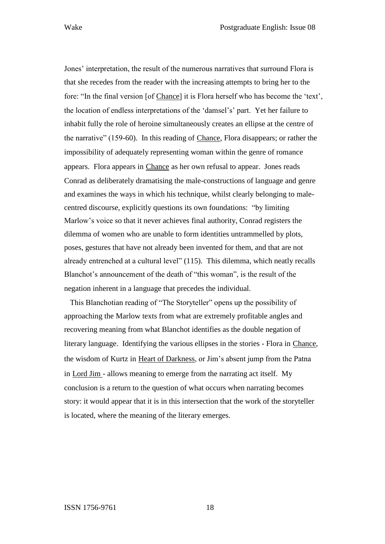Jones' interpretation, the result of the numerous narratives that surround Flora is that she recedes from the reader with the increasing attempts to bring her to the fore: "In the final version [of Chance] it is Flora herself who has become the 'text', the location of endless interpretations of the 'damsel's' part. Yet her failure to inhabit fully the role of heroine simultaneously creates an ellipse at the centre of the narrative" (159-60). In this reading of Chance, Flora disappears; or rather the impossibility of adequately representing woman within the genre of romance appears. Flora appears in Chance as her own refusal to appear. Jones reads Conrad as deliberately dramatising the male-constructions of language and genre and examines the ways in which his technique, whilst clearly belonging to malecentred discourse, explicitly questions its own foundations: "by limiting Marlow's voice so that it never achieves final authority, Conrad registers the dilemma of women who are unable to form identities untrammelled by plots, poses, gestures that have not already been invented for them, and that are not already entrenched at a cultural level" (115). This dilemma, which neatly recalls Blanchot's announcement of the death of "this woman", is the result of the negation inherent in a language that precedes the individual.

This Blanchotian reading of "The Storyteller" opens up the possibility of approaching the Marlow texts from what are extremely profitable angles and recovering meaning from what Blanchot identifies as the double negation of literary language. Identifying the various ellipses in the stories - Flora in Chance, the wisdom of Kurtz in Heart of Darkness, or Jim's absent jump from the Patna in Lord Jim - allows meaning to emerge from the narrating act itself. My conclusion is a return to the question of what occurs when narrating becomes story: it would appear that it is in this intersection that the work of the storyteller is located, where the meaning of the literary emerges.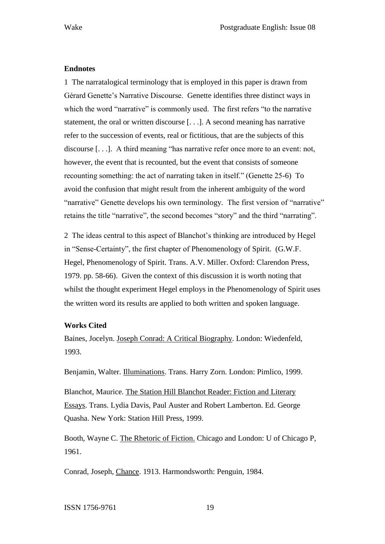#### **Endnotes**

1 The narratalogical terminology that is employed in this paper is drawn from Gérard Genette's Narrative Discourse. Genette identifies three distinct ways in which the word "narrative" is commonly used. The first refers "to the narrative statement, the oral or written discourse [. . .]. A second meaning has narrative refer to the succession of events, real or fictitious, that are the subjects of this discourse [. . .]. A third meaning "has narrative refer once more to an event: not, however, the event that is recounted, but the event that consists of someone recounting something: the act of narrating taken in itself." (Genette 25-6) To avoid the confusion that might result from the inherent ambiguity of the word "narrative" Genette develops his own terminology. The first version of "narrative" retains the title "narrative", the second becomes "story" and the third "narrating".

2 The ideas central to this aspect of Blanchot's thinking are introduced by Hegel in "Sense-Certainty", the first chapter of Phenomenology of Spirit. (G.W.F. Hegel, Phenomenology of Spirit. Trans. A.V. Miller. Oxford: Clarendon Press, 1979. pp. 58-66). Given the context of this discussion it is worth noting that whilst the thought experiment Hegel employs in the Phenomenology of Spirit uses the written word its results are applied to both written and spoken language.

#### **Works Cited**

Baines, Jocelyn. Joseph Conrad: A Critical Biography. London: Wiedenfeld, 1993.

Benjamin, Walter. Illuminations. Trans. Harry Zorn. London: Pimlico, 1999.

Blanchot, Maurice. The Station Hill Blanchot Reader: Fiction and Literary Essays. Trans. Lydia Davis, Paul Auster and Robert Lamberton. Ed. George Quasha. New York: Station Hill Press, 1999.

Booth, Wayne C. The Rhetoric of Fiction. Chicago and London: U of Chicago P, 1961.

Conrad, Joseph, Chance. 1913. Harmondsworth: Penguin, 1984.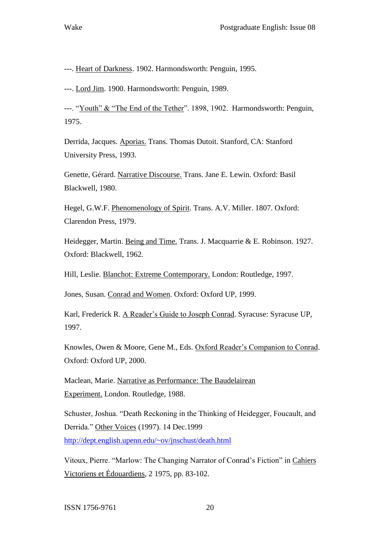---. Heart of Darkness. 1902. Harmondsworth: Penguin, 1995.

---. Lord Jim. 1900. Harmondsworth: Penguin, 1989.

---. "Youth" & "The End of the Tether". 1898, 1902. Harmondsworth: Penguin, 1975.

Derrida, Jacques. Aporias. Trans. Thomas Dutoit. Stanford, CA: Stanford University Press, 1993.

Genette, Gérard. Narrative Discourse. Trans. Jane E. Lewin. Oxford: Basil Blackwell, 1980.

Hegel, G.W.F. Phenomenology of Spirit. Trans. A.V. Miller. 1807. Oxford: Clarendon Press, 1979.

Heidegger, Martin. Being and Time. Trans. J. Macquarrie & E. Robinson. 1927. Oxford: Blackwell, 1962.

Hill, Leslie. Blanchot: Extreme Contemporary. London: Routledge, 1997.

Jones, Susan. Conrad and Women. Oxford: Oxford UP, 1999.

Karl, Frederick R. A Reader's Guide to Joseph Conrad. Syracuse: Syracuse UP, 1997.

Knowles, Owen & Moore, Gene M., Eds. Oxford Reader's Companion to Conrad. Oxford: Oxford UP, 2000.

Maclean, Marie. Narrative as Performance: The Baudelairean Experiment. London. Routledge, 1988.

Schuster, Joshua. "Death Reckoning in the Thinking of Heidegger, Foucault, and Derrida." Other Voices (1997). 14 Dec.1999 <http://dept.english.upenn.edu/~ov/jnschust/death.html>

Vitoux, Pierre. "Marlow: The Changing Narrator of Conrad's Fiction" in Cahiers Victoriens et Édouardiens, 2 1975, pp. 83-102.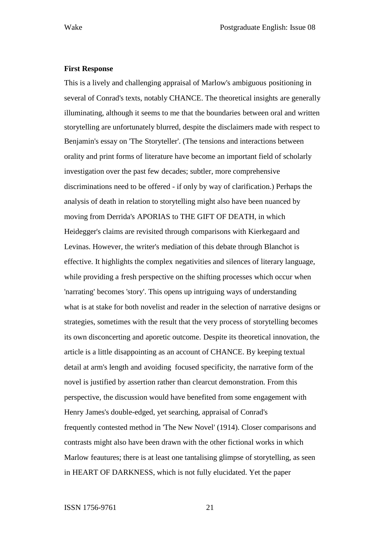#### **First Response**

This is a lively and challenging appraisal of Marlow's ambiguous positioning in several of Conrad's texts, notably CHANCE. The theoretical insights are generally illuminating, although it seems to me that the boundaries between oral and written storytelling are unfortunately blurred, despite the disclaimers made with respect to Benjamin's essay on 'The Storyteller'. (The tensions and interactions between orality and print forms of literature have become an important field of scholarly investigation over the past few decades; subtler, more comprehensive discriminations need to be offered - if only by way of clarification.) Perhaps the analysis of death in relation to storytelling might also have been nuanced by moving from Derrida's APORIAS to THE GIFT OF DEATH, in which Heidegger's claims are revisited through comparisons with Kierkegaard and Levinas. However, the writer's mediation of this debate through Blanchot is effective. It highlights the complex negativities and silences of literary language, while providing a fresh perspective on the shifting processes which occur when 'narrating' becomes 'story'. This opens up intriguing ways of understanding what is at stake for both novelist and reader in the selection of narrative designs or strategies, sometimes with the result that the very process of storytelling becomes its own disconcerting and aporetic outcome. Despite its theoretical innovation, the article is a little disappointing as an account of CHANCE. By keeping textual detail at arm's length and avoiding focused specificity, the narrative form of the novel is justified by assertion rather than clearcut demonstration. From this perspective, the discussion would have benefited from some engagement with Henry James's double-edged, yet searching, appraisal of Conrad's frequently contested method in 'The New Novel' (1914). Closer comparisons and contrasts might also have been drawn with the other fictional works in which Marlow feautures; there is at least one tantalising glimpse of storytelling, as seen in HEART OF DARKNESS, which is not fully elucidated. Yet the paper